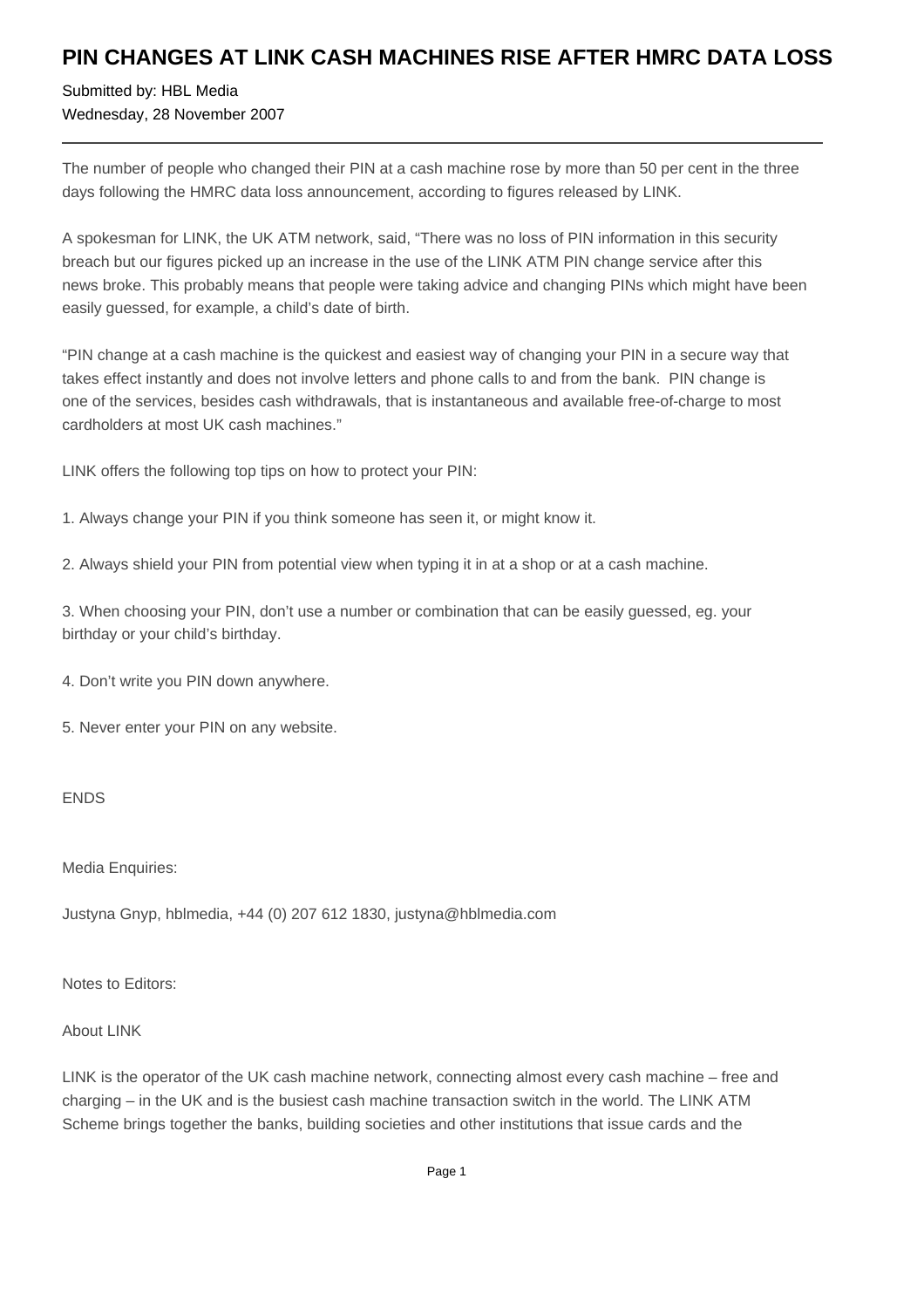## **PIN CHANGES AT LINK CASH MACHINES RISE AFTER HMRC DATA LOSS**

Submitted by: HBL Media Wednesday, 28 November 2007

The number of people who changed their PIN at a cash machine rose by more than 50 per cent in the three days following the HMRC data loss announcement, according to figures released by LINK.

A spokesman for LINK, the UK ATM network, said, "There was no loss of PIN information in this security breach but our figures picked up an increase in the use of the LINK ATM PIN change service after this news broke. This probably means that people were taking advice and changing PINs which might have been easily guessed, for example, a child's date of birth.

"PIN change at a cash machine is the quickest and easiest way of changing your PIN in a secure way that takes effect instantly and does not involve letters and phone calls to and from the bank. PIN change is one of the services, besides cash withdrawals, that is instantaneous and available free-of-charge to most cardholders at most UK cash machines."

LINK offers the following top tips on how to protect your PIN:

- 1. Always change your PIN if you think someone has seen it, or might know it.
- 2. Always shield your PIN from potential view when typing it in at a shop or at a cash machine.

3. When choosing your PIN, don't use a number or combination that can be easily guessed, eg. your birthday or your child's birthday.

4. Don't write you PIN down anywhere.

5. Never enter your PIN on any website.

## ENDS

Media Enquiries:

Justyna Gnyp, hblmedia, +44 (0) 207 612 1830, justyna@hblmedia.com

Notes to Editors:

About LINK

LINK is the operator of the UK cash machine network, connecting almost every cash machine – free and charging – in the UK and is the busiest cash machine transaction switch in the world. The LINK ATM Scheme brings together the banks, building societies and other institutions that issue cards and the